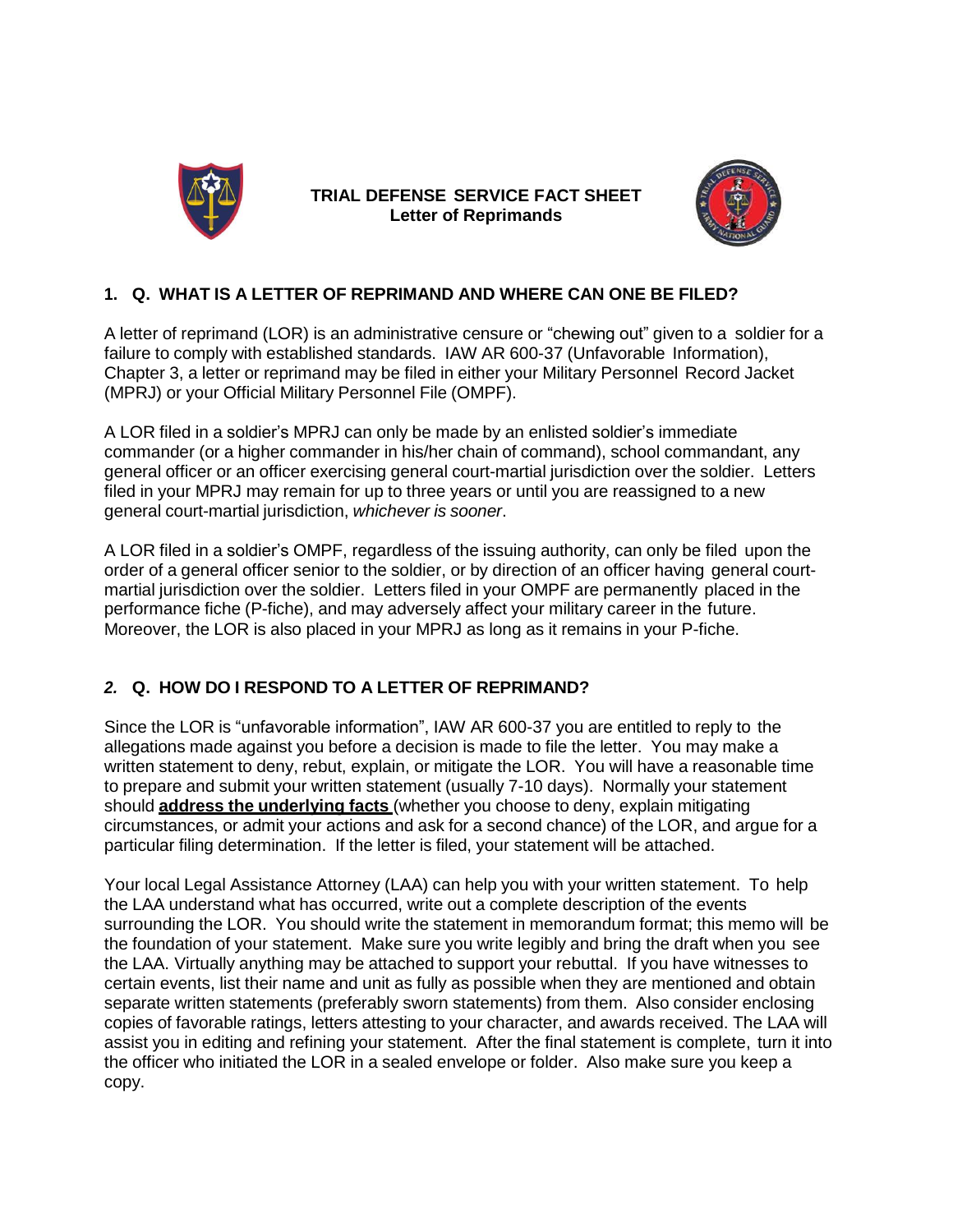

**TRIAL DEFENSE SERVICE FACT SHEET Letter of Reprimands**



### **1. Q. WHAT IS A LETTER OF REPRIMAND AND WHERE CAN ONE BE FILED?**

A letter of reprimand (LOR) is an administrative censure or "chewing out" given to a soldier for a failure to comply with established standards. IAW AR 600-37 (Unfavorable Information), Chapter 3, a letter or reprimand may be filed in either your Military Personnel Record Jacket (MPRJ) or your Official Military Personnel File (OMPF).

A LOR filed in a soldier's MPRJ can only be made by an enlisted soldier's immediate commander (or a higher commander in his/her chain of command), school commandant, any general officer or an officer exercising general court-martial jurisdiction over the soldier. Letters filed in your MPRJ may remain for up to three years or until you are reassigned to a new general court-martial jurisdiction, *whichever is sooner*.

A LOR filed in a soldier's OMPF, regardless of the issuing authority, can only be filed upon the order of a general officer senior to the soldier, or by direction of an officer having general courtmartial jurisdiction over the soldier. Letters filed in your OMPF are permanently placed in the performance fiche (P-fiche), and may adversely affect your military career in the future. Moreover, the LOR is also placed in your MPRJ as long as it remains in your P-fiche.

# *2.* **Q. HOW DO I RESPOND TO A LETTER OF REPRIMAND?**

Since the LOR is "unfavorable information", IAW AR 600-37 you are entitled to reply to the allegations made against you before a decision is made to file the letter. You may make a written statement to deny, rebut, explain, or mitigate the LOR. You will have a reasonable time to prepare and submit your written statement (usually 7-10 days). Normally your statement should **address the underlying facts** (whether you choose to deny, explain mitigating circumstances, or admit your actions and ask for a second chance) of the LOR, and argue for a particular filing determination. If the letter is filed, your statement will be attached.

Your local Legal Assistance Attorney (LAA) can help you with your written statement. To help the LAA understand what has occurred, write out a complete description of the events surrounding the LOR. You should write the statement in memorandum format; this memo will be the foundation of your statement. Make sure you write legibly and bring the draft when you see the LAA. Virtually anything may be attached to support your rebuttal. If you have witnesses to certain events, list their name and unit as fully as possible when they are mentioned and obtain separate written statements (preferably sworn statements) from them. Also consider enclosing copies of favorable ratings, letters attesting to your character, and awards received. The LAA will assist you in editing and refining your statement. After the final statement is complete, turn it into the officer who initiated the LOR in a sealed envelope or folder. Also make sure you keep a copy.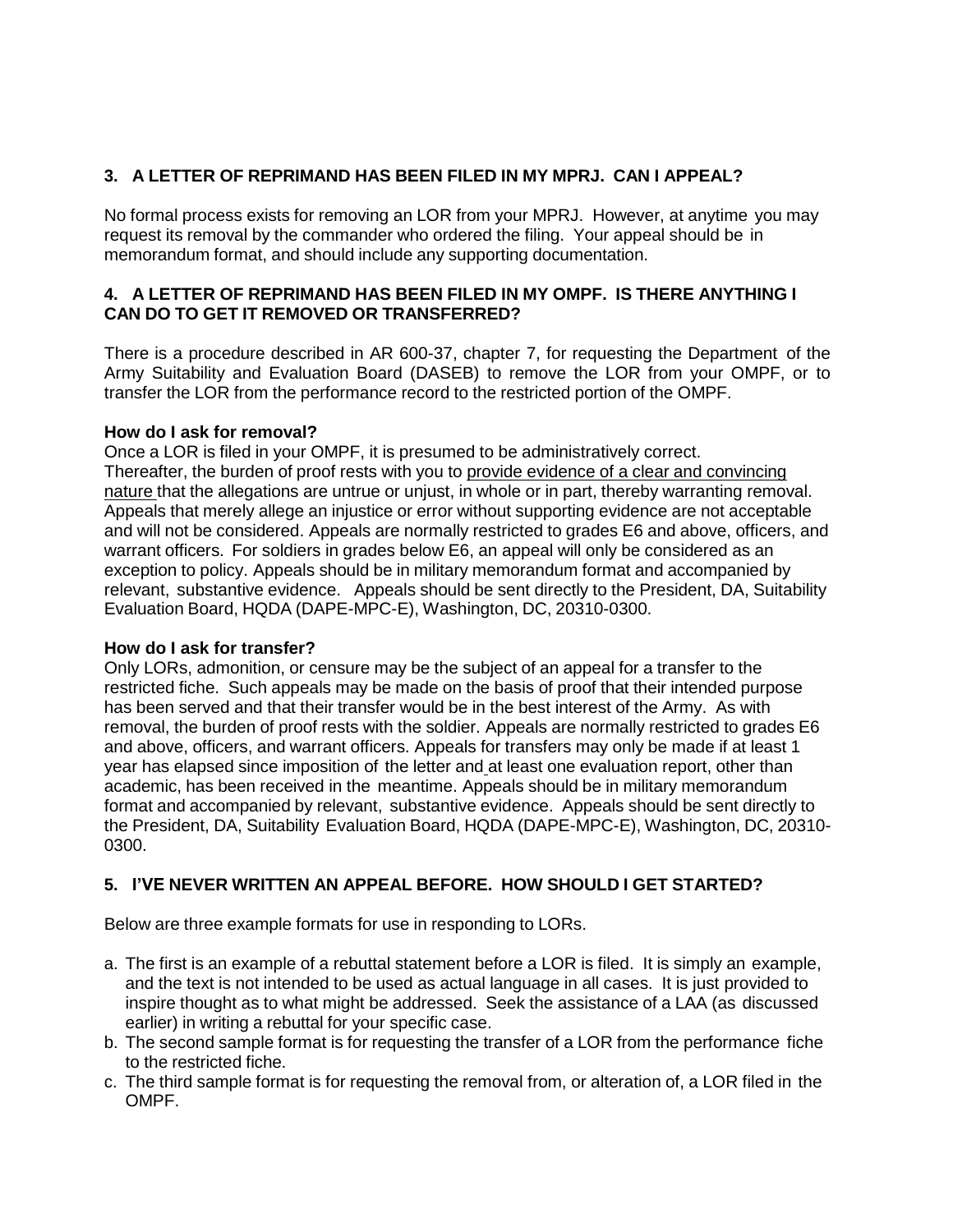# **3. A LETTER OF REPRIMAND HAS BEEN FILED IN MY MPRJ. CAN I APPEAL?**

No formal process exists for removing an LOR from your MPRJ. However, at anytime you may request its removal by the commander who ordered the filing. Your appeal should be in memorandum format, and should include any supporting documentation.

### **4. A LETTER OF REPRIMAND HAS BEEN FILED IN MY OMPF. IS THERE ANYTHING I CAN DO TO GET IT REMOVED OR TRANSFERRED?**

There is a procedure described in AR 600-37, chapter 7, for requesting the Department of the Army Suitability and Evaluation Board (DASEB) to remove the LOR from your OMPF, or to transfer the LOR from the performance record to the restricted portion of the OMPF.

### **How do I ask for removal?**

Once a LOR is filed in your OMPF, it is presumed to be administratively correct. Thereafter, the burden of proof rests with you to provide evidence of a clear and convincing nature that the allegations are untrue or unjust, in whole or in part, thereby warranting removal. Appeals that merely allege an injustice or error without supporting evidence are not acceptable and will not be considered. Appeals are normally restricted to grades E6 and above, officers, and warrant officers. For soldiers in grades below E6, an appeal will only be considered as an exception to policy. Appeals should be in military memorandum format and accompanied by relevant, substantive evidence. Appeals should be sent directly to the President, DA, Suitability Evaluation Board, HQDA (DAPE-MPC-E), Washington, DC, 20310-0300.

### **How do I ask for transfer?**

Only LORs, admonition, or censure may be the subject of an appeal for a transfer to the restricted fiche. Such appeals may be made on the basis of proof that their intended purpose has been served and that their transfer would be in the best interest of the Army. As with removal, the burden of proof rests with the soldier. Appeals are normally restricted to grades E6 and above, officers, and warrant officers. Appeals for transfers may only be made if at least 1 year has elapsed since imposition of the letter and at least one evaluation report, other than academic, has been received in the meantime. Appeals should be in military memorandum format and accompanied by relevant, substantive evidence. Appeals should be sent directly to the President, DA, Suitability Evaluation Board, HQDA (DAPE-MPC-E), Washington, DC, 20310- 0300.

# **5. I'VE NEVER WRITTEN AN APPEAL BEFORE. HOW SHOULD I GET STARTED?**

Below are three example formats for use in responding to LORs.

- a. The first is an example of a rebuttal statement before a LOR is filed. It is simply an example, and the text is not intended to be used as actual language in all cases. It is just provided to inspire thought as to what might be addressed. Seek the assistance of a LAA (as discussed earlier) in writing a rebuttal for your specific case.
- b. The second sample format is for requesting the transfer of a LOR from the performance fiche to the restricted fiche.
- c. The third sample format is for requesting the removal from, or alteration of, a LOR filed in the OMPF.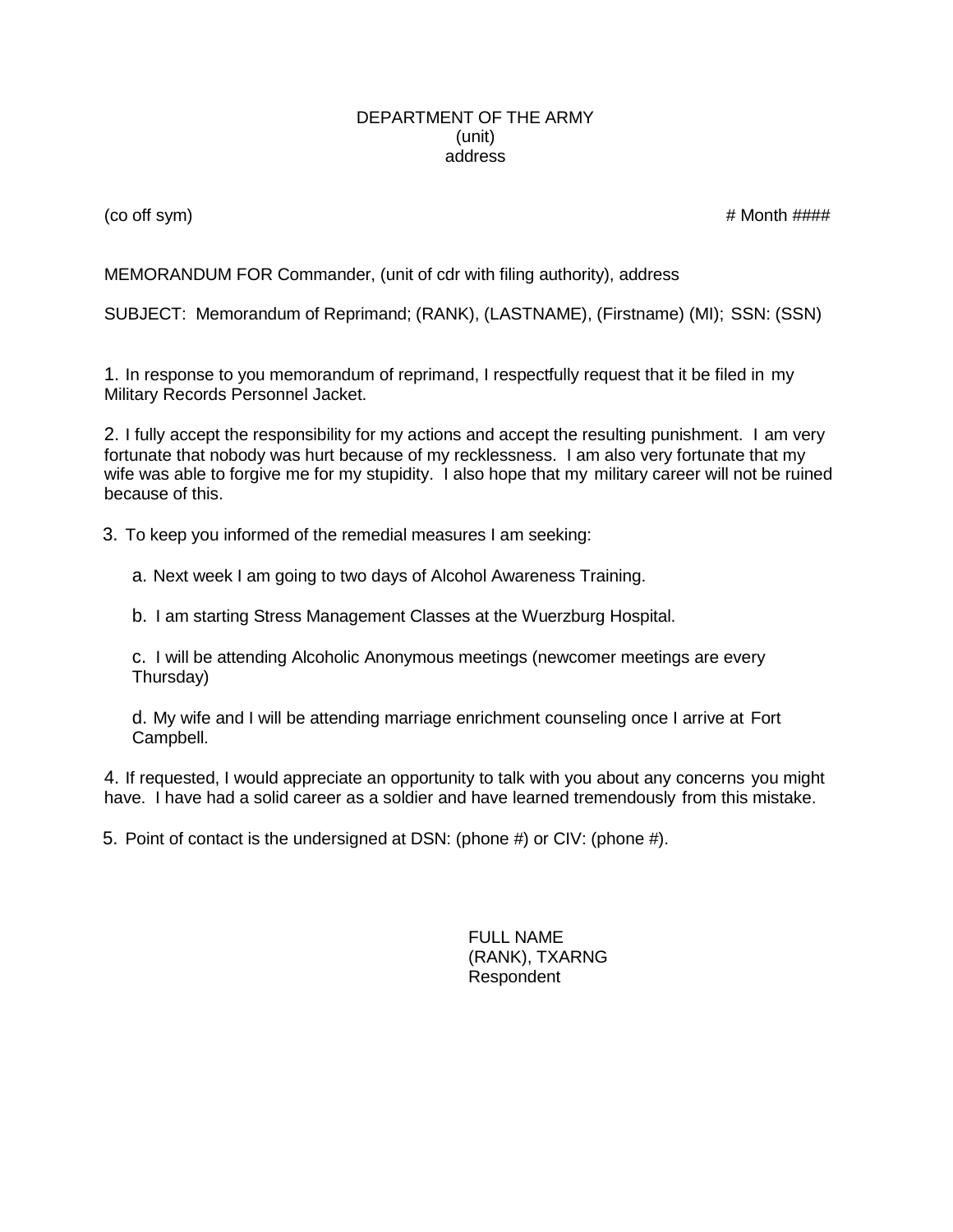#### DEPARTMENT OF THE ARMY (unit) address

 $($ co off sym $)$   $\#$  Month  $\#$ # $\#$ 

MEMORANDUM FOR Commander, (unit of cdr with filing authority), address

SUBJECT: Memorandum of Reprimand; (RANK), (LASTNAME), (Firstname) (MI); SSN: (SSN)

1. In response to you memorandum of reprimand, I respectfully request that it be filed in my Military Records Personnel Jacket.

2. I fully accept the responsibility for my actions and accept the resulting punishment. I am very fortunate that nobody was hurt because of my recklessness. I am also very fortunate that my wife was able to forgive me for my stupidity. I also hope that my military career will not be ruined because of this.

- 3. To keep you informed of the remedial measures I am seeking:
	- a. Next week I am going to two days of Alcohol Awareness Training.

b. I am starting Stress Management Classes at the Wuerzburg Hospital.

c. I will be attending Alcoholic Anonymous meetings (newcomer meetings are every Thursday)

d. My wife and I will be attending marriage enrichment counseling once I arrive at Fort Campbell.

4. If requested, I would appreciate an opportunity to talk with you about any concerns you might have. I have had a solid career as a soldier and have learned tremendously from this mistake.

5. Point of contact is the undersigned at DSN: (phone #) or CIV: (phone #).

FULL NAME (RANK), TXARNG Respondent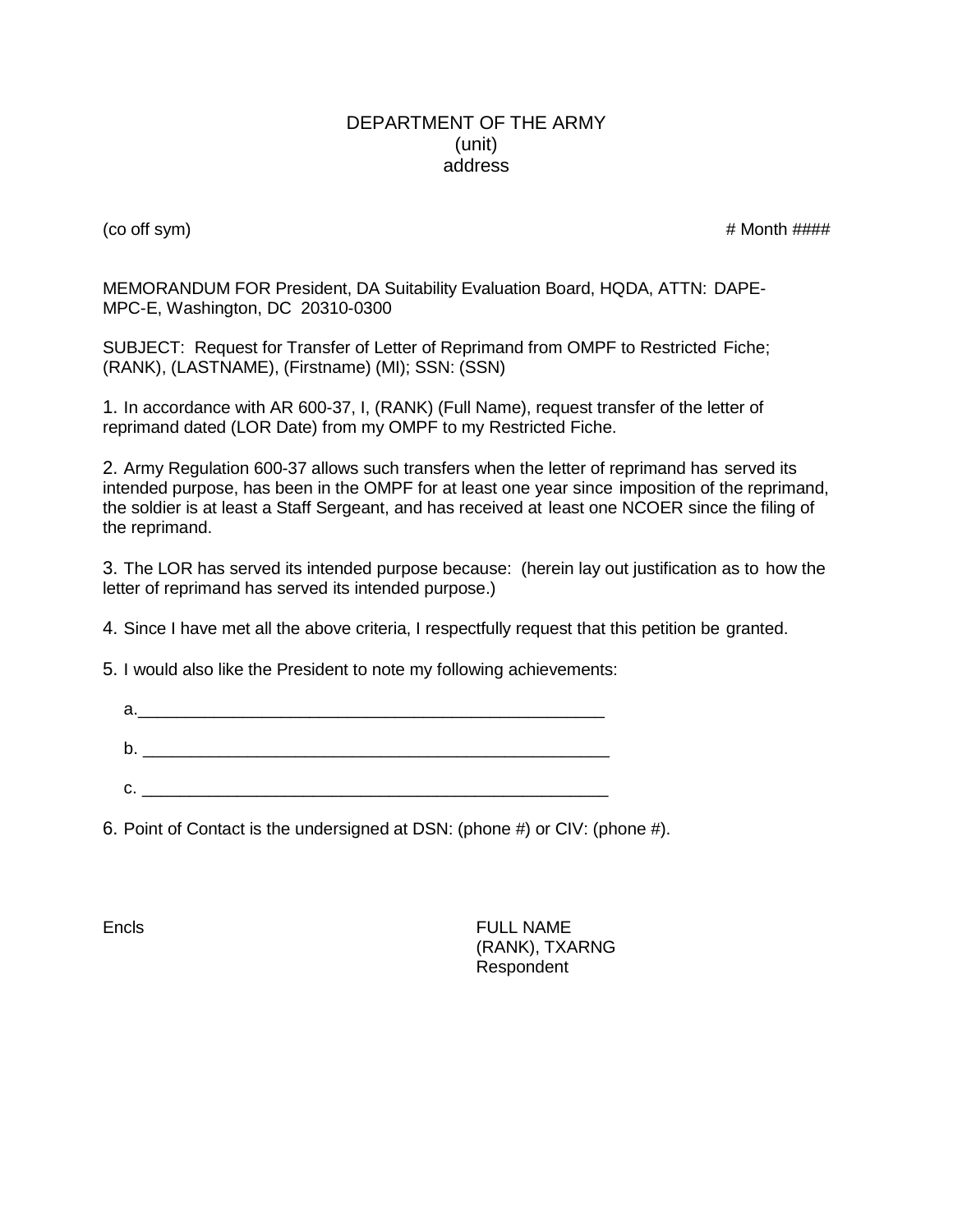#### DEPARTMENT OF THE ARMY (unit) address

 $($ co off sym $)$   $\#$  Month  $\# \# \#$ 

MEMORANDUM FOR President, DA Suitability Evaluation Board, HQDA, ATTN: DAPE-MPC-E, Washington, DC 20310-0300

SUBJECT: Request for Transfer of Letter of Reprimand from OMPF to Restricted Fiche; (RANK), (LASTNAME), (Firstname) (MI); SSN: (SSN)

1. In accordance with AR 600-37, I, (RANK) (Full Name), request transfer of the letter of reprimand dated (LOR Date) from my OMPF to my Restricted Fiche.

2. Army Regulation 600-37 allows such transfers when the letter of reprimand has served its intended purpose, has been in the OMPF for at least one year since imposition of the reprimand, the soldier is at least a Staff Sergeant, and has received at least one NCOER since the filing of the reprimand.

3. The LOR has served its intended purpose because: (herein lay out justification as to how the letter of reprimand has served its intended purpose.)

4. Since I have met all the above criteria, I respectfully request that this petition be granted.

5. I would also like the President to note my following achievements:

| а. |  |
|----|--|
|    |  |
| b  |  |
|    |  |
| C. |  |

6. Point of Contact is the undersigned at DSN: (phone #) or CIV: (phone #).

Encls **FULL NAME** (RANK), TXARNG Respondent